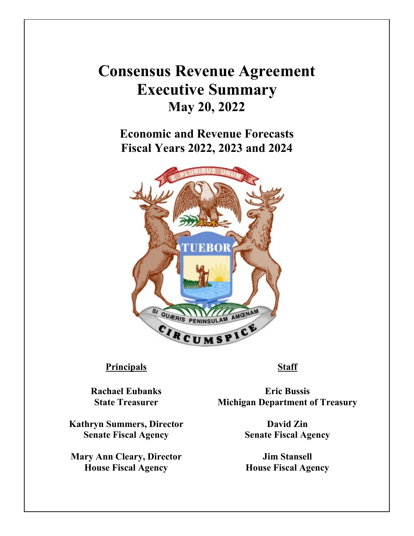## **Consensus Revenue Agreement Executive Summary May 20, 2022**

**Economic and Revenue Forecasts Fiscal Years 2022, 2023 and 2024**



## **Principals Staff**

**Rachael Eubanks State Treasurer**

**Kathryn Summers, Director Senate Fiscal Agency**

**Mary Ann Cleary, Director House Fiscal Agency**

**Eric Bussis Michigan Department of Treasury**

> **David Zin Senate Fiscal Agency**

**Jim Stansell House Fiscal Agency**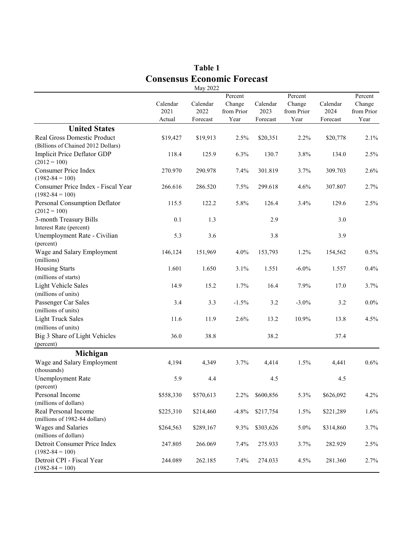|                                           |           | May 2022  |            |           |            |           |            |
|-------------------------------------------|-----------|-----------|------------|-----------|------------|-----------|------------|
|                                           |           |           | Percent    |           |            |           |            |
|                                           | Calendar  | Calendar  | Change     | Calendar  | Change     | Calendar  | Change     |
|                                           | 2021      | 2022      | from Prior | 2023      | from Prior | 2024      | from Prior |
|                                           | Actual    | Forecast  | Year       | Forecast  | Year       | Forecast  | Year       |
| <b>United States</b>                      |           |           |            |           |            |           |            |
| Real Gross Domestic Product               | \$19,427  | \$19,913  | 2.5%       | \$20,351  | 2.2%       | \$20,778  | 2.1%       |
| (Billions of Chained 2012 Dollars)        |           |           |            |           |            |           |            |
| Implicit Price Deflator GDP               | 118.4     | 125.9     | 6.3%       | 130.7     | 3.8%       | 134.0     | 2.5%       |
| $(2012 = 100)$                            |           |           |            |           |            |           |            |
| <b>Consumer Price Index</b>               | 270.970   | 290.978   | 7.4%       | 301.819   | 3.7%       | 309.703   | 2.6%       |
| $(1982 - 84 = 100)$                       |           |           |            |           |            |           |            |
| Consumer Price Index - Fiscal Year        | 266.616   | 286.520   | 7.5%       | 299.618   | 4.6%       | 307.807   | 2.7%       |
| $(1982 - 84 = 100)$                       |           |           |            |           |            |           |            |
| Personal Consumption Deflator             | 115.5     | 122.2     | 5.8%       | 126.4     | 3.4%       | 129.6     | 2.5%       |
| $(2012 = 100)$                            |           |           |            |           |            |           |            |
| 3-month Treasury Bills                    | 0.1       | 1.3       |            | 2.9       |            | 3.0       |            |
| Interest Rate (percent)                   |           |           |            |           |            |           |            |
| Unemployment Rate - Civilian<br>(percent) | 5.3       | 3.6       |            | 3.8       |            | 3.9       |            |
| Wage and Salary Employment                | 146,124   | 151,969   | 4.0%       | 153,793   | 1.2%       | 154,562   | $0.5\%$    |
| (millions)                                |           |           |            |           |            |           |            |
| <b>Housing Starts</b>                     | 1.601     | 1.650     | 3.1%       | 1.551     | $-6.0\%$   | 1.557     | 0.4%       |
| (millions of starts)                      |           |           |            |           |            |           |            |
| <b>Light Vehicle Sales</b>                | 14.9      | 15.2      | 1.7%       | 16.4      | 7.9%       | 17.0      | 3.7%       |
| (millions of units)                       |           |           |            |           |            |           |            |
| Passenger Car Sales                       | 3.4       | 3.3       | $-1.5%$    | 3.2       | $-3.0\%$   | 3.2       | $0.0\%$    |
| (millions of units)                       |           |           |            |           |            |           |            |
| <b>Light Truck Sales</b>                  | 11.6      | 11.9      | 2.6%       | 13.2      | 10.9%      | 13.8      | 4.5%       |
| (millions of units)                       |           |           |            |           |            |           |            |
| Big 3 Share of Light Vehicles             | 36.0      | 38.8      |            | 38.2      |            | 37.4      |            |
| (percent)                                 |           |           |            |           |            |           |            |
| Michigan                                  |           |           |            |           |            |           |            |
| Wage and Salary Employment                | 4,194     | 4,349     | 3.7%       | 4,414     | 1.5%       | 4,441     | 0.6%       |
| (thousands)                               |           |           |            |           |            |           |            |
| <b>Unemployment Rate</b>                  | 5.9       | 4.4       |            | 4.5       |            | 4.5       |            |
| (percent)                                 |           |           |            |           |            |           |            |
| Personal Income                           | \$558,330 | \$570,613 | 2.2%       | \$600,856 | 5.3%       | \$626,092 | 4.2%       |
| (millions of dollars)                     |           |           |            |           |            |           |            |
| Real Personal Income                      | \$225,310 | \$214,460 | $-4.8%$    | \$217,754 | 1.5%       | \$221,289 | 1.6%       |
| (millions of 1982-84 dollars)             |           |           |            |           |            |           |            |
| Wages and Salaries                        | \$264,563 | \$289,167 | 9.3%       | \$303,626 | 5.0%       | \$314,860 | 3.7%       |
| (millions of dollars)                     |           |           |            |           |            |           |            |
| Detroit Consumer Price Index              | 247.805   | 266.069   | 7.4%       | 275.933   | 3.7%       | 282.929   | 2.5%       |
| $(1982 - 84 = 100)$                       |           |           |            |           |            |           |            |
| Detroit CPI - Fiscal Year                 | 244.089   | 262.185   | 7.4%       | 274.033   | 4.5%       | 281.360   | 2.7%       |
| $(1982 - 84 = 100)$                       |           |           |            |           |            |           |            |

## **Table 1 Consensus Economic Forecast**